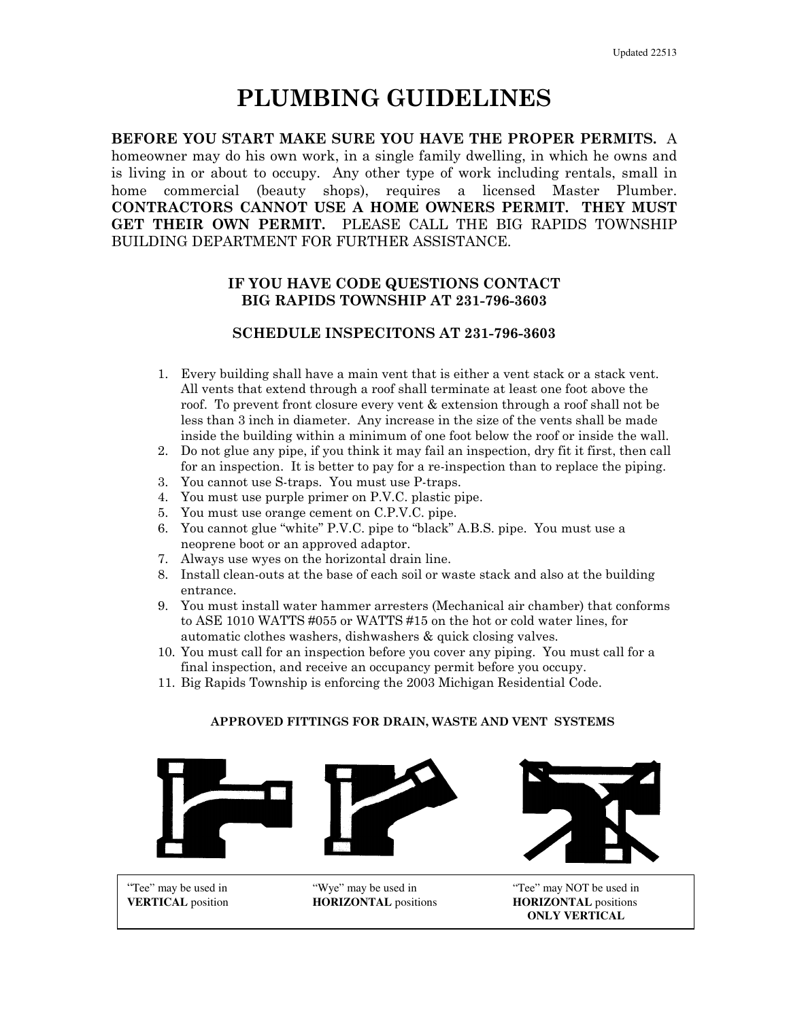# PLUMBING GUIDELINES

BEFORE YOU START MAKE SURE YOU HAVE THE PROPER PERMITS. A homeowner may do his own work, in a single family dwelling, in which he owns and is living in or about to occupy. Any other type of work including rentals, small in home commercial (beauty shops), requires a licensed Master Plumber. CONTRACTORS CANNOT USE A HOME OWNERS PERMIT. THEY MUST GET THEIR OWN PERMIT. PLEASE CALL THE BIG RAPIDS TOWNSHIP BUILDING DEPARTMENT FOR FURTHER ASSISTANCE.

### IF YOU HAVE CODE QUESTIONS CONTACT BIG RAPIDS TOWNSHIP AT 231-796-3603

### SCHEDULE INSPECITONS AT 231-796-3603

- 1. Every building shall have a main vent that is either a vent stack or a stack vent. All vents that extend through a roof shall terminate at least one foot above the roof. To prevent front closure every vent & extension through a roof shall not be less than 3 inch in diameter. Any increase in the size of the vents shall be made inside the building within a minimum of one foot below the roof or inside the wall.
- 2. Do not glue any pipe, if you think it may fail an inspection, dry fit it first, then call for an inspection. It is better to pay for a re-inspection than to replace the piping.
- 3. You cannot use S-traps. You must use P-traps.
- 4. You must use purple primer on P.V.C. plastic pipe.
- 5. You must use orange cement on C.P.V.C. pipe.
- 6. You cannot glue "white" P.V.C. pipe to "black" A.B.S. pipe. You must use a neoprene boot or an approved adaptor.
- 7. Always use wyes on the horizontal drain line.
- 8. Install clean-outs at the base of each soil or waste stack and also at the building entrance.
- 9. You must install water hammer arresters (Mechanical air chamber) that conforms to ASE 1010 WATTS #055 or WATTS #15 on the hot or cold water lines, for automatic clothes washers, dishwashers & quick closing valves.
- 10. You must call for an inspection before you cover any piping. You must call for a final inspection, and receive an occupancy permit before you occupy.
- 11. Big Rapids Township is enforcing the 2003 Michigan Residential Code.

#### APPROVED FITTINGS FOR DRAIN, WASTE AND VENT SYSTEMS





"Tee" may be used in "Wye" may be used in "Tee" may NOT be used in **VERTICAL** position **HORIZONTAL** positions **HORIZONTAL** positions **ONLY VERTICAL**